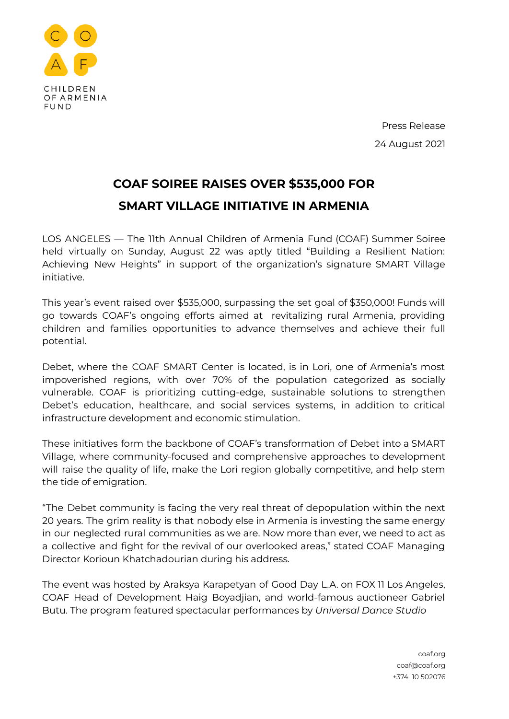

Press Release 24 August 2021

## **COAF SOIREE RAISES OVER \$535,000 FOR SMART VILLAGE INITIATIVE IN ARMENIA**

LOS ANGELES — The 11th Annual Children of Armenia Fund (COAF) Summer Soiree held virtually on Sunday, August 22 was aptly titled "Building a Resilient Nation: Achieving New Heights" in support of the organization's signature SMART Village initiative.

This year's event raised over \$535,000, surpassing the set goal of \$350,000! Funds will go towards COAF's ongoing efforts aimed at revitalizing rural Armenia, providing children and families opportunities to advance themselves and achieve their full potential.

Debet, where the COAF SMART Center is located, is in Lori, one of Armenia's most impoverished regions, with over 70% of the population categorized as socially vulnerable. COAF is prioritizing cutting-edge, sustainable solutions to strengthen Debet's education, healthcare, and social services systems, in addition to critical infrastructure development and economic stimulation.

These initiatives form the backbone of COAF's transformation of Debet into a SMART Village, where community-focused and comprehensive approaches to development will raise the quality of life, make the Lori region globally competitive, and help stem the tide of emigration.

"The Debet community is facing the very real threat of depopulation within the next 20 years. The grim reality is that nobody else in Armenia is investing the same energy in our neglected rural communities as we are. Now more than ever, we need to act as a collective and fight for the revival of our overlooked areas," stated COAF Managing Director Korioun Khatchadourian during his address.

The event was hosted by Araksya Karapetyan of Good Day L.A. on FOX 11 Los Angeles, COAF Head of Development Haig Boyadjian, and world-famous auctioneer Gabriel Butu. The program featured spectacular performances by *Universal Dance Studio*